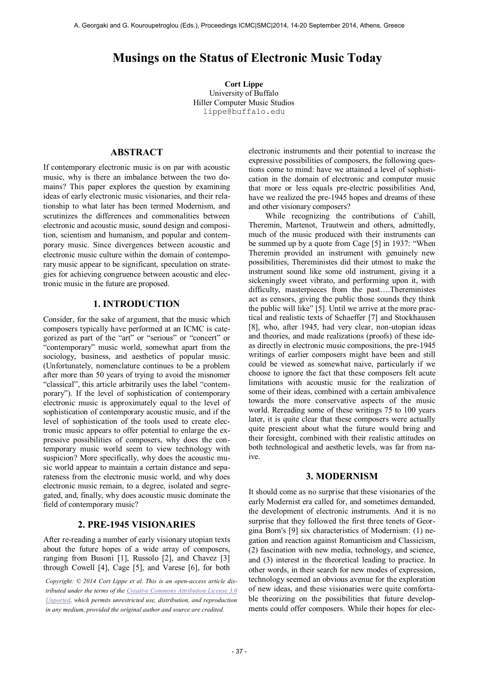# **Musings on the Status of Electronic Music Today**

**Cort Lippe** University of Buffalo Hiller Computer Music Studios lippe@buffalo.edu

## **ABSTRACT**

If contemporary electronic music is on par with acoustic music, why is there an imbalance between the two domains? This paper explores the question by examining ideas of early electronic music visionaries, and their relationship to what later has been termed Modernism, and scrutinizes the differences and commonalities between electronic and acoustic music, sound design and composition, scientism and humanism, and popular and contemporary music. Since divergences between acoustic and electronic music culture within the domain of contemporary music appear to be significant, speculation on strategies for achieving congruence between acoustic and electronic music in the future are proposed.

## **1. INTRODUCTION**

Consider, for the sake of argument, that the music which composers typically have performed at an ICMC is categorized as part of the "art" or "serious" or "concert" or "contemporary" music world, somewhat apart from the sociology, business, and aesthetics of popular music. (Unfortunately, nomenclature continues to be a problem after more than 50 years of trying to avoid the misnomer "classical", this article arbitrarily uses the label "contemporary"). If the level of sophistication of contemporary electronic music is approximately equal to the level of sophistication of contemporary acoustic music, and if the level of sophistication of the tools used to create electronic music appears to offer potential to enlarge the expressive possibilities of composers, why does the contemporary music world seem to view technology with suspicion? More specifically, why does the acoustic music world appear to maintain a certain distance and separateness from the electronic music world, and why does electronic music remain, to a degree, isolated and segregated, and, finally, why does acoustic music dominate the field of contemporary music?

# **2. PRE-1945 VISIONARIES**

After re-reading a number of early visionary utopian texts about the future hopes of a wide array of composers, ranging from Busoni [1], Russolo [2], and Chavez [3] through Cowell [4], Cage [5], and Varese [6], for both

*Copyright: © 2014 Cort Lippe et al. This is an open-access article distributed under the terms of th[e Creative Commons Attribution License 3.0](http://creativecommons.org/licenses/by/3.0/)  [Unported,](http://creativecommons.org/licenses/by/3.0/) which permits unrestricted use, distribution, and reproduction in any medium, provided the original author and source are credited.*

electronic instruments and their potential to increase the expressive possibilities of composers, the following questions come to mind: have we attained a level of sophistication in the domain of electronic and computer music that more or less equals pre-electric possibilities And, have we realized the pre-1945 hopes and dreams of these and other visionary composers?

While recognizing the contributions of Cahill, Theremin, Martenot, Trautwein and others, admittedly, much of the music produced with their instruments can be summed up by a quote from Cage [5] in 1937: "When Theremin provided an instrument with genuinely new possibilities, Thereministes did their utmost to make the instrument sound like some old instrument, giving it a sickeningly sweet vibrato, and performing upon it, with difficulty, masterpieces from the past….Thereministes act as censors, giving the public those sounds they think the public will like" [5]. Until we arrive at the more practical and realistic texts of Schaeffer [7] and Stockhausen [8], who, after 1945, had very clear, non-utopian ideas and theories, and made realizations (proofs) of these ideas directly in electronic music compositions, the pre-1945 writings of earlier composers might have been and still could be viewed as somewhat naive, particularly if we choose to ignore the fact that these composers felt acute limitations with acoustic music for the realization of some of their ideas, combined with a certain ambivalence towards the more conservative aspects of the music world. Rereading some of these writings 75 to 100 years later, it is quite clear that these composers were actually quite prescient about what the future would bring and their foresight, combined with their realistic attitudes on both technological and aesthetic levels, was far from naive.

#### **3. MODERNISM**

It should come as no surprise that these visionaries of the early Modernist era called for, and sometimes demanded, the development of electronic instruments. And it is no surprise that they followed the first three tenets of Georgina Born's [9] six characteristics of Modernism: (1) negation and reaction against Romanticism and Classicism, (2) fascination with new media, technology, and science, and (3) interest in the theoretical leading to practice. In other words, in their search for new modes of expression, technology seemed an obvious avenue for the exploration of new ideas, and these visionaries were quite comfortable theorizing on the possibilities that future developments could offer composers. While their hopes for elec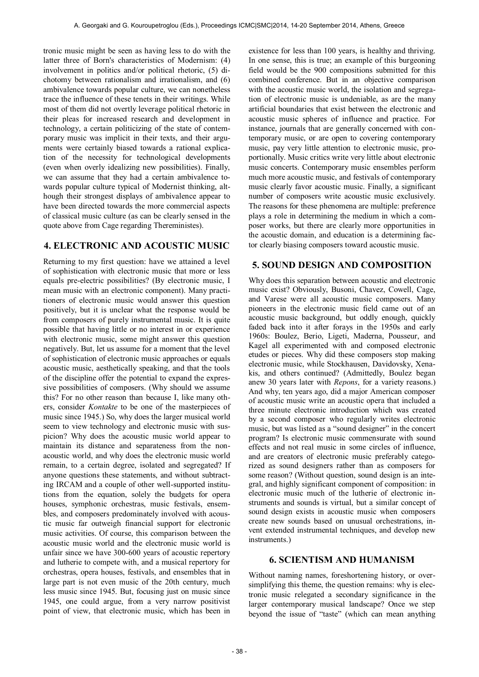tronic music might be seen as having less to do with the latter three of Born's characteristics of Modernism: (4) involvement in politics and/or political rhetoric, (5) dichotomy between rationalism and irrationalism, and (6) ambivalence towards popular culture, we can nonetheless trace the influence of these tenets in their writings. While most of them did not overtly leverage political rhetoric in their pleas for increased research and development in technology, a certain politicizing of the state of contemporary music was implicit in their texts, and their arguments were certainly biased towards a rational explication of the necessity for technological developments (even when overly idealizing new possibilities). Finally, we can assume that they had a certain ambivalence towards popular culture typical of Modernist thinking, although their strongest displays of ambivalence appear to have been directed towards the more commercial aspects of classical music culture (as can be clearly sensed in the quote above from Cage regarding Thereministes).

# **4. ELECTRONIC AND ACOUSTIC MUSIC**

Returning to my first question: have we attained a level of sophistication with electronic music that more or less equals pre-electric possibilities? (By electronic music, I mean music with an electronic component). Many practitioners of electronic music would answer this question positively, but it is unclear what the response would be from composers of purely instrumental music. It is quite possible that having little or no interest in or experience with electronic music, some might answer this question negatively. But, let us assume for a moment that the level of sophistication of electronic music approaches or equals acoustic music, aesthetically speaking, and that the tools of the discipline offer the potential to expand the expressive possibilities of composers. (Why should we assume this? For no other reason than because I, like many others, consider *Kontakte* to be one of the masterpieces of music since 1945.) So, why does the larger musical world seem to view technology and electronic music with suspicion? Why does the acoustic music world appear to maintain its distance and separateness from the nonacoustic world, and why does the electronic music world remain, to a certain degree, isolated and segregated? If anyone questions these statements, and without subtracting IRCAM and a couple of other well-supported institutions from the equation, solely the budgets for opera houses, symphonic orchestras, music festivals, ensembles, and composers predominately involved with acoustic music far outweigh financial support for electronic music activities. Of course, this comparison between the acoustic music world and the electronic music world is unfair since we have 300-600 years of acoustic repertory and lutherie to compete with, and a musical repertory for orchestras, opera houses, festivals, and ensembles that in large part is not even music of the 20th century, much less music since 1945. But, focusing just on music since 1945, one could argue, from a very narrow positivist point of view, that electronic music, which has been in

existence for less than 100 years, is healthy and thriving. In one sense, this is true; an example of this burgeoning field would be the 900 compositions submitted for this combined conference. But in an objective comparison with the acoustic music world, the isolation and segregation of electronic music is undeniable, as are the many artificial boundaries that exist between the electronic and acoustic music spheres of influence and practice. For instance, journals that are generally concerned with contemporary music, or are open to covering contemporary music, pay very little attention to electronic music, proportionally. Music critics write very little about electronic music concerts. Contemporary music ensembles perform much more acoustic music, and festivals of contemporary music clearly favor acoustic music. Finally, a significant number of composers write acoustic music exclusively. The reasons for these phenomena are multiple: preference plays a role in determining the medium in which a composer works, but there are clearly more opportunities in the acoustic domain, and education is a determining factor clearly biasing composers toward acoustic music.

# **5. SOUND DESIGN AND COMPOSITION**

Why does this separation between acoustic and electronic music exist? Obviously, Busoni, Chavez, Cowell, Cage, and Varese were all acoustic music composers. Many pioneers in the electronic music field came out of an acoustic music background, but oddly enough, quickly faded back into it after forays in the 1950s and early 1960s: Boulez, Berio, Ligeti, Maderna, Pousseur, and Kagel all experimented with and composed electronic etudes or pieces. Why did these composers stop making electronic music, while Stockhausen, Davidovsky, Xenakis, and others continued? (Admittedly, Boulez began anew 30 years later with *Repons*, for a variety reasons.) And why, ten years ago, did a major American composer of acoustic music write an acoustic opera that included a three minute electronic introduction which was created by a second composer who regularly writes electronic music, but was listed as a "sound designer" in the concert program? Is electronic music commensurate with sound effects and not real music in some circles of influence, and are creators of electronic music preferably categorized as sound designers rather than as composers for some reason? (Without question, sound design is an integral, and highly significant component of composition: in electronic music much of the lutherie of electronic instruments and sounds is virtual, but a similar concept of sound design exists in acoustic music when composers create new sounds based on unusual orchestrations, invent extended instrumental techniques, and develop new instruments.)

### **6. SCIENTISM AND HUMANISM**

Without naming names, foreshortening history, or oversimplifying this theme, the question remains: why is electronic music relegated a secondary significance in the larger contemporary musical landscape? Once we step beyond the issue of "taste" (which can mean anything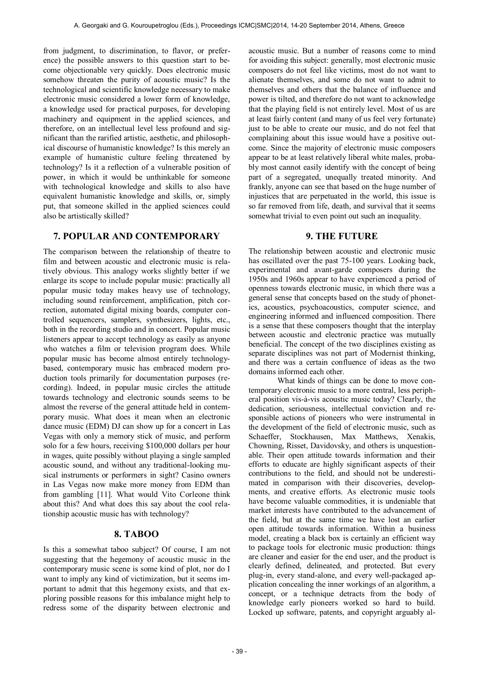from judgment, to discrimination, to flavor, or preference) the possible answers to this question start to become objectionable very quickly. Does electronic music somehow threaten the purity of acoustic music? Is the technological and scientific knowledge necessary to make electronic music considered a lower form of knowledge, a knowledge used for practical purposes, for developing machinery and equipment in the applied sciences, and therefore, on an intellectual level less profound and significant than the rarified artistic, aesthetic, and philosophical discourse of humanistic knowledge? Is this merely an example of humanistic culture feeling threatened by technology? Is it a reflection of a vulnerable position of power, in which it would be unthinkable for someone with technological knowledge and skills to also have equivalent humanistic knowledge and skills, or, simply put, that someone skilled in the applied sciences could also be artistically skilled?

# **7. POPULAR AND CONTEMPORARY**

The comparison between the relationship of theatre to film and between acoustic and electronic music is relatively obvious. This analogy works slightly better if we enlarge its scope to include popular music: practically all popular music today makes heavy use of technology, including sound reinforcement, amplification, pitch correction, automated digital mixing boards, computer controlled sequencers, samplers, synthesizers, lights, etc., both in the recording studio and in concert. Popular music listeners appear to accept technology as easily as anyone who watches a film or television program does. While popular music has become almost entirely technologybased, contemporary music has embraced modern production tools primarily for documentation purposes (recording). Indeed, in popular music circles the attitude towards technology and electronic sounds seems to be almost the reverse of the general attitude held in contemporary music. What does it mean when an electronic dance music (EDM) DJ can show up for a concert in Las Vegas with only a memory stick of music, and perform solo for a few hours, receiving \$100,000 dollars per hour in wages, quite possibly without playing a single sampled acoustic sound, and without any traditional-looking musical instruments or performers in sight? Casino owners in Las Vegas now make more money from EDM than from gambling [11]. What would Vito Corleone think about this? And what does this say about the cool relationship acoustic music has with technology?

# **8. TABOO**

Is this a somewhat taboo subject? Of course, I am not suggesting that the hegemony of acoustic music in the contemporary music scene is some kind of plot, nor do I want to imply any kind of victimization, but it seems important to admit that this hegemony exists, and that exploring possible reasons for this imbalance might help to redress some of the disparity between electronic and acoustic music. But a number of reasons come to mind for avoiding this subject: generally, most electronic music composers do not feel like victims, most do not want to alienate themselves, and some do not want to admit to themselves and others that the balance of influence and power is tilted, and therefore do not want to acknowledge that the playing field is not entirely level. Most of us are at least fairly content (and many of us feel very fortunate) just to be able to create our music, and do not feel that complaining about this issue would have a positive outcome. Since the majority of electronic music composers appear to be at least relatively liberal white males, probably most cannot easily identify with the concept of being part of a segregated, unequally treated minority. And frankly, anyone can see that based on the huge number of injustices that are perpetuated in the world, this issue is so far removed from life, death, and survival that it seems somewhat trivial to even point out such an inequality.

## **9. THE FUTURE**

The relationship between acoustic and electronic music has oscillated over the past 75-100 years. Looking back, experimental and avant-garde composers during the 1950s and 1960s appear to have experienced a period of openness towards electronic music, in which there was a general sense that concepts based on the study of phonetics, acoustics, psychoacoustics, computer science, and engineering informed and influenced composition. There is a sense that these composers thought that the interplay between acoustic and electronic practice was mutually beneficial. The concept of the two disciplines existing as separate disciplines was not part of Modernist thinking, and there was a certain confluence of ideas as the two domains informed each other.

What kinds of things can be done to move contemporary electronic music to a more central, less peripheral position vis-à-vis acoustic music today? Clearly, the dedication, seriousness, intellectual conviction and responsible actions of pioneers who were instrumental in the development of the field of electronic music, such as Schaeffer, Stockhausen, Max Matthews, Xenakis, Chowning, Risset, Davidovsky, and others is unquestionable. Their open attitude towards information and their efforts to educate are highly significant aspects of their contributions to the field, and should not be underestimated in comparison with their discoveries, developments, and creative efforts. As electronic music tools have become valuable commodities, it is undeniable that market interests have contributed to the advancement of the field, but at the same time we have lost an earlier open attitude towards information. Within a business model, creating a black box is certainly an efficient way to package tools for electronic music production: things are cleaner and easier for the end user, and the product is clearly defined, delineated, and protected. But every plug-in, every stand-alone, and every well-packaged application concealing the inner workings of an algorithm, a concept, or a technique detracts from the body of knowledge early pioneers worked so hard to build. Locked up software, patents, and copyright arguably al